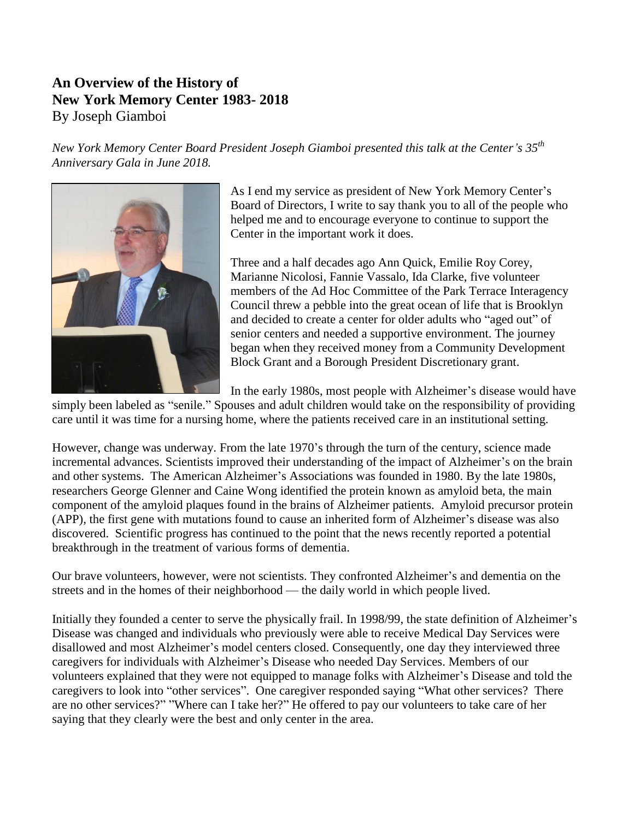## **An Overview of the History of New York Memory Center 1983- 2018** By Joseph Giamboi

*New York Memory Center Board President Joseph Giamboi presented this talk at the Center's 35th Anniversary Gala in June 2018.*



As I end my service as president of New York Memory Center's Board of Directors, I write to say thank you to all of the people who helped me and to encourage everyone to continue to support the Center in the important work it does.

Three and a half decades ago Ann Quick, Emilie Roy Corey, Marianne Nicolosi, Fannie Vassalo, Ida Clarke, five volunteer members of the Ad Hoc Committee of the Park Terrace Interagency Council threw a pebble into the great ocean of life that is Brooklyn and decided to create a center for older adults who "aged out" of senior centers and needed a supportive environment. The journey began when they received money from a Community Development Block Grant and a Borough President Discretionary grant.

In the early 1980s, most people with Alzheimer's disease would have

simply been labeled as "senile." Spouses and adult children would take on the responsibility of providing care until it was time for a nursing home, where the patients received care in an institutional setting.

However, change was underway. From the late 1970's through the turn of the century, science made incremental advances. Scientists improved their understanding of the impact of Alzheimer's on the brain and other systems. The American Alzheimer's Associations was founded in 1980. By the late 1980s, researchers George Glenner and Caine Wong identified the protein known as amyloid beta, the main component of the amyloid plaques found in the brains of Alzheimer patients. Amyloid precursor protein (APP), the first gene with mutations found to cause an inherited form of Alzheimer's disease was also discovered. Scientific progress has continued to the point that the news recently reported a potential breakthrough in the treatment of various forms of dementia.

Our brave volunteers, however, were not scientists. They confronted Alzheimer's and dementia on the streets and in the homes of their neighborhood — the daily world in which people lived.

Initially they founded a center to serve the physically frail. In 1998/99, the state definition of Alzheimer's Disease was changed and individuals who previously were able to receive Medical Day Services were disallowed and most Alzheimer's model centers closed. Consequently, one day they interviewed three caregivers for individuals with Alzheimer's Disease who needed Day Services. Members of our volunteers explained that they were not equipped to manage folks with Alzheimer's Disease and told the caregivers to look into "other services". One caregiver responded saying "What other services? There are no other services?" "Where can I take her?" He offered to pay our volunteers to take care of her saying that they clearly were the best and only center in the area.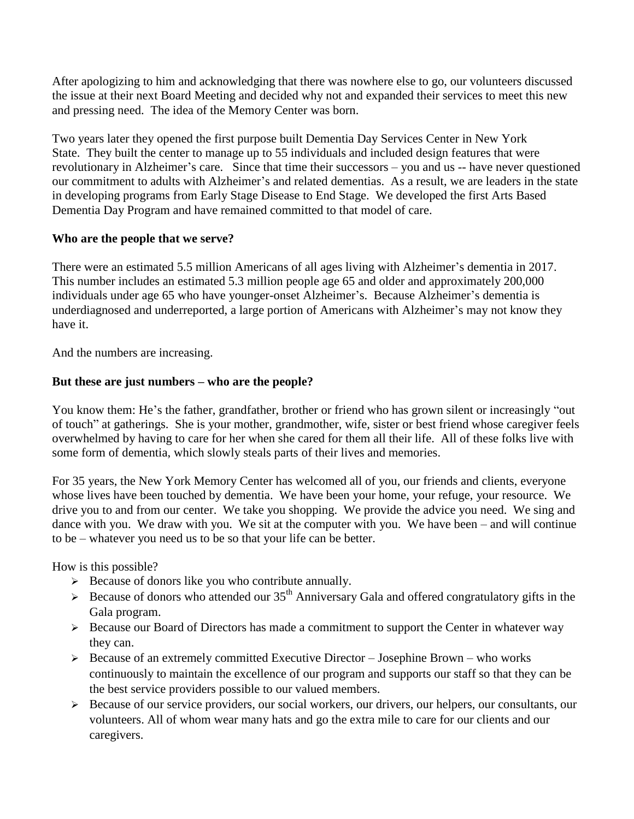After apologizing to him and acknowledging that there was nowhere else to go, our volunteers discussed the issue at their next Board Meeting and decided why not and expanded their services to meet this new and pressing need. The idea of the Memory Center was born.

Two years later they opened the first purpose built Dementia Day Services Center in New York State. They built the center to manage up to 55 individuals and included design features that were revolutionary in Alzheimer's care. Since that time their successors – you and us -- have never questioned our commitment to adults with Alzheimer's and related dementias. As a result, we are leaders in the state in developing programs from Early Stage Disease to End Stage. We developed the first Arts Based Dementia Day Program and have remained committed to that model of care.

## **Who are the people that we serve?**

There were an estimated 5.5 million Americans of all ages living with Alzheimer's dementia in 2017. This number includes an estimated 5.3 million people age 65 and older and approximately 200,000 individuals under age 65 who have younger-onset Alzheimer's. Because Alzheimer's dementia is underdiagnosed and underreported, a large portion of Americans with Alzheimer's may not know they have it.

And the numbers are increasing.

## **But these are just numbers – who are the people?**

You know them: He's the father, grandfather, brother or friend who has grown silent or increasingly "out of touch" at gatherings. She is your mother, grandmother, wife, sister or best friend whose caregiver feels overwhelmed by having to care for her when she cared for them all their life. All of these folks live with some form of dementia, which slowly steals parts of their lives and memories.

For 35 years, the New York Memory Center has welcomed all of you, our friends and clients, everyone whose lives have been touched by dementia. We have been your home, your refuge, your resource. We drive you to and from our center. We take you shopping. We provide the advice you need. We sing and dance with you. We draw with you. We sit at the computer with you. We have been – and will continue to be – whatever you need us to be so that your life can be better.

How is this possible?

- $\triangleright$  Because of donors like you who contribute annually.
- $\geq$  Because of donors who attended our 35<sup>th</sup> Anniversary Gala and offered congratulatory gifts in the Gala program.
- $\triangleright$  Because our Board of Directors has made a commitment to support the Center in whatever way they can.
- $\triangleright$  Because of an extremely committed Executive Director Josephine Brown who works continuously to maintain the excellence of our program and supports our staff so that they can be the best service providers possible to our valued members.
- Because of our service providers, our social workers, our drivers, our helpers, our consultants, our volunteers. All of whom wear many hats and go the extra mile to care for our clients and our caregivers.